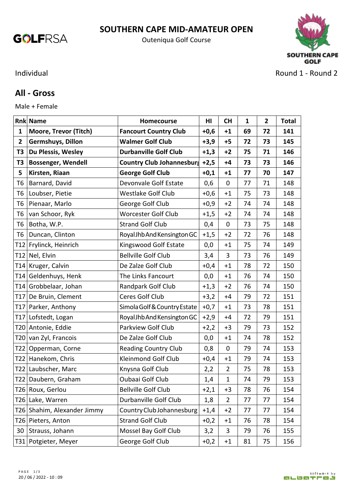

## **SOUTHERN CAPE MID-AMATEUR OPEN**

Outeniqua Golf Course



## **All - Gross**

Male + Female

| <b>Rnk Name</b> |                             | Homecourse                     | H <sub>II</sub> | <b>CH</b>      | $\mathbf{1}$ | $\overline{2}$ | <b>Total</b> |
|-----------------|-----------------------------|--------------------------------|-----------------|----------------|--------------|----------------|--------------|
| $\mathbf{1}$    | Moore, Trevor (Titch)       | <b>Fancourt Country Club</b>   | $+0,6$          | $+1$           | 69           | 72             | 141          |
| $\overline{2}$  | Germshuys, Dillon           | <b>Walmer Golf Club</b>        | $+3,9$          | $+5$           | 72           | 73             | 145          |
| T3              | Du Plessis, Wesley          | <b>Durbanville Golf Club</b>   | $+1,3$          | $+2$           | 75           | 71             | 146          |
| T3              | <b>Bossenger, Wendell</b>   | Country Club Johannesburg +2,5 |                 | $+4$           | 73           | 73             | 146          |
| 5               | Kirsten, Riaan              | <b>George Golf Club</b>        | $+0,1$          | $+1$           | 77           | 70             | 147          |
| T6              | Barnard, David              | Devonvale Golf Estate          | 0,6             | 0              | 77           | 71             | 148          |
| T6              | Loubser, Pietie             | <b>Westlake Golf Club</b>      | $+0,6$          | $+1$           | 75           | 73             | 148          |
| T <sub>6</sub>  | Pienaar, Marlo              | George Golf Club               | $+0,9$          | $+2$           | 74           | 74             | 148          |
| T6              | van Schoor, Ryk             | Worcester Golf Club            | $+1,5$          | $+2$           | 74           | 74             | 148          |
| T6              | Botha, W.P.                 | <b>Strand Golf Club</b>        | 0,4             | $\mathbf 0$    | 73           | 75             | 148          |
| T6              | Duncan, Clinton             | Royal Jhb And Kensington GC    | $+1,5$          | $+2$           | 72           | 76             | 148          |
|                 | T12 Frylinck, Heinrich      | Kingswood Golf Estate          | 0,0             | $+1$           | 75           | 74             | 149          |
|                 | T12 Nel, Elvin              | <b>Bellville Golf Club</b>     | 3,4             | 3              | 73           | 76             | 149          |
|                 | T14 Kruger, Calvin          | De Zalze Golf Club             | $+0,4$          | $+1$           | 78           | 72             | 150          |
|                 | T14 Geldenhuys, Henk        | The Links Fancourt             | 0,0             | $+1$           | 76           | 74             | 150          |
|                 | T14 Grobbelaar, Johan       | Randpark Golf Club             | $+1,3$          | $+2$           | 76           | 74             | 150          |
| T <sub>17</sub> | De Bruin, Clement           | Ceres Golf Club                | $+3,2$          | $+4$           | 79           | 72             | 151          |
|                 | T17 Parker, Anthony         | Simola Golf & Country Estate   | $+0,7$          | $+1$           | 73           | 78             | 151          |
|                 | T17 Lofstedt, Logan         | Royal Jhb And Kensington GC    | $+2,9$          | $+4$           | 72           | 79             | 151          |
|                 | T20 Antonie, Eddie          | Parkview Golf Club             | $+2,2$          | $+3$           | 79           | 73             | 152          |
|                 | T20 van Zyl, Francois       | De Zalze Golf Club             | 0,0             | $+1$           | 74           | 78             | 152          |
|                 | T22 Opperman, Corne         | <b>Reading Country Club</b>    | 0,8             | $\mathbf 0$    | 79           | 74             | 153          |
|                 | T22 Hanekom, Chris          | Kleinmond Golf Club            | $+0,4$          | $+1$           | 79           | 74             | 153          |
|                 | T22 Laubscher, Marc         | Knysna Golf Club               | 2,2             | $\overline{2}$ | 75           | 78             | 153          |
|                 | T22 Daubern, Graham         | Oubaai Golf Club               | 1,4             | $\mathbf 1$    | 74           | 79             | 153          |
|                 | T26 Roux, Gerlou            | <b>Bellville Golf Club</b>     | $+2,1$          | $+3$           | 78           | 76             | 154          |
|                 | T26 Lake, Warren            | Durbanville Golf Club          | 1,8             | $\overline{2}$ | 77           | 77             | 154          |
|                 | T26 Shahim, Alexander Jimmy | Country Club Johannesburg      | $+1,4$          | $+2$           | 77           | 77             | 154          |
|                 | T26 Pieters, Anton          | <b>Strand Golf Club</b>        | $+0,2$          | $+1$           | 76           | 78             | 154          |
| 30              | Strauss, Johann             | Mossel Bay Golf Club           | 3,2             | 3              | 79           | 76             | 155          |
|                 | T31   Potgieter, Meyer      | George Golf Club               | $+0,2$          | $+1$           | 81           | 75             | 156          |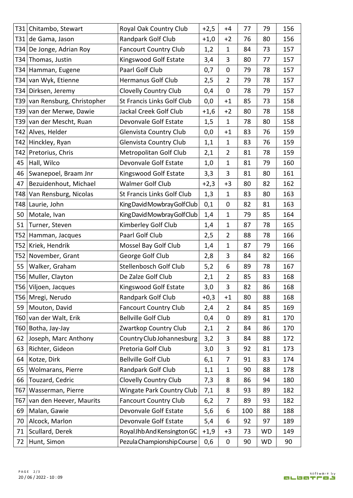|     | T31 Chitambo, Stewart         | Royal Oak Country Club           | $+2,5$ | $+4$           | 77  | 79        | 156 |
|-----|-------------------------------|----------------------------------|--------|----------------|-----|-----------|-----|
|     | T31 de Gama, Jason            | <b>Randpark Golf Club</b>        | $+1,0$ | $+2$           | 76  | 80        | 156 |
|     | T34 De Jonge, Adrian Roy      | <b>Fancourt Country Club</b>     | 1,2    | $\mathbf{1}$   | 84  | 73        | 157 |
|     | T34 Thomas, Justin            | Kingswood Golf Estate            | 3,4    | 3              | 80  | 77        | 157 |
|     | T34 Hamman, Eugene            | Paarl Golf Club                  | 0,7    | 0              | 79  | 78        | 157 |
|     | T34 van Wyk, Etienne          | Hermanus Golf Club               | 2,5    | 2              | 79  | 78        | 157 |
|     | T34 Dirksen, Jeremy           | Clovelly Country Club            | 0,4    | 0              | 78  | 79        | 157 |
|     | T39 van Rensburg, Christopher | St Francis Links Golf Club       | 0,0    | $+1$           | 85  | 73        | 158 |
|     | T39 van der Merwe, Dawie      | Jackal Creek Golf Club           | $+1,6$ | $+2$           | 80  | 78        | 158 |
|     | T39 van der Mescht, Ruan      | Devonvale Golf Estate            | 1,5    | 1              | 78  | 80        | 158 |
|     | T42 Alves, Helder             | Glenvista Country Club           | 0,0    | $+1$           | 83  | 76        | 159 |
|     | T42 Hinckley, Ryan            | Glenvista Country Club           | 1,1    | $\mathbf{1}$   | 83  | 76        | 159 |
|     | T42 Pretorius, Chris          | Metropolitan Golf Club           | 2,1    | $\overline{2}$ | 81  | 78        | 159 |
|     | 45 Hall, Wilco                | Devonvale Golf Estate            | 1,0    | 1              | 81  | 79        | 160 |
| 46  | Swanepoel, Braam Jnr          | Kingswood Golf Estate            | 3,3    | 3              | 81  | 80        | 161 |
| 47  | Bezuidenhout, Michael         | <b>Walmer Golf Club</b>          | $+2,3$ | $+3$           | 80  | 82        | 162 |
|     | T48 Van Rensburg, Nicolas     | St Francis Links Golf Club       | 1,3    | 1              | 83  | 80        | 163 |
|     | T48 Laurie, John              | King David Mowbray Golf Club     | 0,1    | 0              | 82  | 81        | 163 |
| 50  | Motale, Ivan                  | King David Mowbray Golf Club     | 1,4    | 1              | 79  | 85        | 164 |
| 51  | Turner, Steven                | Kimberley Golf Club              | 1,4    | 1              | 87  | 78        | 165 |
|     | T52 Hamman, Jacques           | Paarl Golf Club                  | 2,5    | 2              | 88  | 78        | 166 |
|     | T52 Kriek, Hendrik            | Mossel Bay Golf Club             | 1,4    | $\mathbf{1}$   | 87  | 79        | 166 |
|     | T52 November, Grant           | George Golf Club                 | 2,8    | 3              | 84  | 82        | 166 |
| 55  | Walker, Graham                | Stellenbosch Golf Club           | 5,2    | 6              | 89  | 78        | 167 |
|     | T56 Muller, Clayton           | De Zalze Golf Club               | 2,1    | $\overline{2}$ | 85  | 83        | 168 |
|     | T56 Viljoen, Jacques          | Kingswood Golf Estate            | 3,0    | 3              | 82  | 86        | 168 |
|     | T56 Mregi, Nerudo             | Randpark Golf Club               | $+0,3$ | $+1$           | 80  | 88        | 168 |
| 59  | Mouton, David                 | <b>Fancourt Country Club</b>     | 2,4    | $\overline{2}$ | 84  | 85        | 169 |
|     | T60 van der Walt, Erik        | <b>Bellville Golf Club</b>       | 0,4    | 0              | 89  | 81        | 170 |
|     | T60   Botha, Jay-Jay          | Zwartkop Country Club            | 2,1    | 2              | 84  | 86        | 170 |
| 62  | Joseph, Marc Anthony          | Country Club Johannesburg        | 3,2    | 3              | 84  | 88        | 172 |
| 63  | Richter, Gideon               | Pretoria Golf Club               | 3,0    | 3              | 92  | 81        | 173 |
| 64  | Kotze, Dirk                   | <b>Bellville Golf Club</b>       | 6,1    | 7              | 91  | 83        | 174 |
| 65  | Wolmarans, Pierre             | Randpark Golf Club               | 1,1    | $\mathbf{1}$   | 90  | 88        | 178 |
| 66  | Touzard, Cedric               | Clovelly Country Club            | 7,3    | 8              | 86  | 94        | 180 |
| T67 | Wasserman, Pierre             | <b>Wingate Park Country Club</b> | 7,1    | 8              | 93  | 89        | 182 |
| T67 | van den Heever, Maurits       | <b>Fancourt Country Club</b>     | 6,2    | 7              | 89  | 93        | 182 |
| 69  | Malan, Gawie                  | Devonvale Golf Estate            | 5,6    | 6              | 100 | 88        | 188 |
| 70  | Alcock, Marlon                | Devonvale Golf Estate            | 5,4    | 6              | 92  | 97        | 189 |
| 71  | Scullard, Derek               | Royal Jhb And Kensington GC      | $+1,9$ | $+3$           | 73  | <b>WD</b> | 149 |
| 72  | Hunt, Simon                   | Pezula Championship Course       | 0,6    | 0              | 90  | <b>WD</b> | 90  |
|     |                               |                                  |        |                |     |           |     |